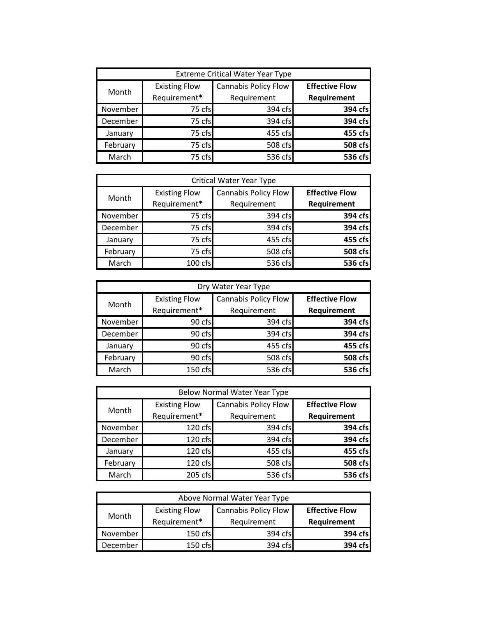| <b>Extreme Critical Water Year Type</b> |                                      |                                            |                                             |
|-----------------------------------------|--------------------------------------|--------------------------------------------|---------------------------------------------|
| Month                                   | <b>Existing Flow</b><br>Requirement* | <b>Cannabis Policy Flow</b><br>Requirement | <b>Effective Flow</b><br><b>Requirement</b> |
| November                                | 75 cfs                               | 394 cfs                                    | 394 cfs                                     |
| December                                | 75 cfs                               | 394 cfs                                    | 394 cfs                                     |
| January                                 | 75 cfs                               | 455 cfs                                    | 455 cfs                                     |
| February                                | 75 cfs                               | 508 cfs                                    | 508 cfs                                     |
| March                                   | 75 cfs                               | 536 cfs                                    | 536 cfs                                     |

| <b>Critical Water Year Type</b> |                      |                             |                       |
|---------------------------------|----------------------|-----------------------------|-----------------------|
| Month                           | <b>Existing Flow</b> | <b>Cannabis Policy Flow</b> | <b>Effective Flow</b> |
|                                 | Requirement*         | Requirement                 | Requirement           |
| November                        | 75 cfs               | 394 cfs                     | 394 cfs               |
| December                        | 75 cfs               | 394 cfs                     | 394 cfs               |
| January                         | 75 cfs               | 455 cfs                     | 455 cfs               |
| February                        | 75 cfs               | 508 cfs                     | 508 cfs               |
| March                           | 100 cfs              | 536 cfs                     | 536 cfs               |

| Dry Water Year Type |                      |                             |                       |
|---------------------|----------------------|-----------------------------|-----------------------|
| Month               | <b>Existing Flow</b> | <b>Cannabis Policy Flow</b> | <b>Effective Flow</b> |
|                     | Requirement*         | Requirement                 | Requirement           |
| November            | 90 cfs               | 394 cfs                     | 394 cfs               |
| December            | 90 cfs               | 394 cfs                     | 394 cfs               |
| January             | 90 cfs               | 455 cfs                     | 455 cfs               |
| February            | 90 cfs               | 508 cfs                     | 508 cfs               |
| March               | 150 cfs              | 536 cfs                     | 536 cfs               |

| <b>Below Normal Water Year Type</b> |                      |                             |                       |
|-------------------------------------|----------------------|-----------------------------|-----------------------|
| Month                               | <b>Existing Flow</b> | <b>Cannabis Policy Flow</b> | <b>Effective Flow</b> |
|                                     | Requirement*         | Requirement                 | Requirement           |
| November                            | 120 cfs              | 394 cfs                     | 394 cfs               |
| December                            | 120 cfs              | 394 cfs                     | 394 cfs               |
| January                             | 120 cfs              | 455 cfs                     | 455 cfs               |
| February                            | 120 cfs              | 508 cfs                     | 508 cfs               |
| March                               | 205 cfs              | 536 cfs                     | 536 cfs               |

| Above Normal Water Year Type |                                      |                                     |                                      |
|------------------------------|--------------------------------------|-------------------------------------|--------------------------------------|
| Month                        | <b>Existing Flow</b><br>Requirement* | Cannabis Policy Flow<br>Requirement | <b>Effective Flow</b><br>Requirement |
| November                     | 150 cfs                              | 394 cfs                             | 394 cfs                              |
| December                     | 150 cfs                              | 394 cfs                             | 394 cfs                              |